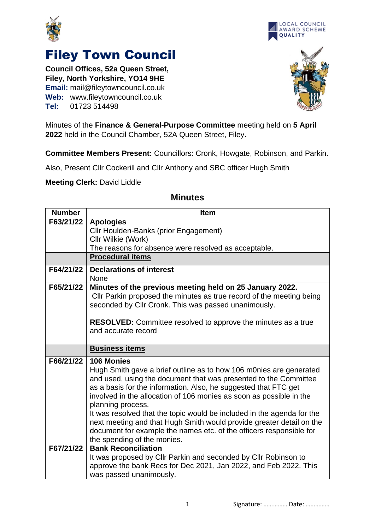



## Filey Town Council

**Council Offices, 52a Queen Street, Filey, North Yorkshire, YO14 9HE Email:** mail@fileytowncouncil.co.uk **Web:** www.fileytowncouncil.co.uk **Tel:** 01723 514498



Minutes of the **Finance & General-Purpose Committee** meeting held on **5 April 2022** held in the Council Chamber, 52A Queen Street, Filey**.**

**Committee Members Present:** Councillors: Cronk, Howgate, Robinson, and Parkin.

Also, Present Cllr Cockerill and Cllr Anthony and SBC officer Hugh Smith

**Meeting Clerk:** David Liddle

| <b>Number</b> | <b>Item</b>                                                                                                                                                                                                                                                                                                                                                                                                                                                                                                                                                                 |
|---------------|-----------------------------------------------------------------------------------------------------------------------------------------------------------------------------------------------------------------------------------------------------------------------------------------------------------------------------------------------------------------------------------------------------------------------------------------------------------------------------------------------------------------------------------------------------------------------------|
| F63/21/22     | <b>Apologies</b>                                                                                                                                                                                                                                                                                                                                                                                                                                                                                                                                                            |
|               | Cllr Houlden-Banks (prior Engagement)                                                                                                                                                                                                                                                                                                                                                                                                                                                                                                                                       |
|               | Cllr Wilkie (Work)                                                                                                                                                                                                                                                                                                                                                                                                                                                                                                                                                          |
|               | The reasons for absence were resolved as acceptable.                                                                                                                                                                                                                                                                                                                                                                                                                                                                                                                        |
|               | <b>Procedural items</b>                                                                                                                                                                                                                                                                                                                                                                                                                                                                                                                                                     |
| F64/21/22     | <b>Declarations of interest</b><br><b>None</b>                                                                                                                                                                                                                                                                                                                                                                                                                                                                                                                              |
| F65/21/22     | Minutes of the previous meeting held on 25 January 2022.<br>Cllr Parkin proposed the minutes as true record of the meeting being<br>seconded by Cllr Cronk. This was passed unanimously.<br><b>RESOLVED:</b> Committee resolved to approve the minutes as a true<br>and accurate record                                                                                                                                                                                                                                                                                     |
|               |                                                                                                                                                                                                                                                                                                                                                                                                                                                                                                                                                                             |
|               | <b>Business items</b>                                                                                                                                                                                                                                                                                                                                                                                                                                                                                                                                                       |
| F66/21/22     | 106 Monies<br>Hugh Smith gave a brief outline as to how 106 m0nies are generated<br>and used, using the document that was presented to the Committee<br>as a basis for the information. Also, he suggested that FTC get<br>involved in the allocation of 106 monies as soon as possible in the<br>planning process.<br>It was resolved that the topic would be included in the agenda for the<br>next meeting and that Hugh Smith would provide greater detail on the<br>document for example the names etc. of the officers responsible for<br>the spending of the monies. |
| F67/21/22     | <b>Bank Reconciliation</b><br>It was proposed by Cllr Parkin and seconded by Cllr Robinson to<br>approve the bank Recs for Dec 2021, Jan 2022, and Feb 2022. This<br>was passed unanimously.                                                                                                                                                                                                                                                                                                                                                                                |

## **Minutes**